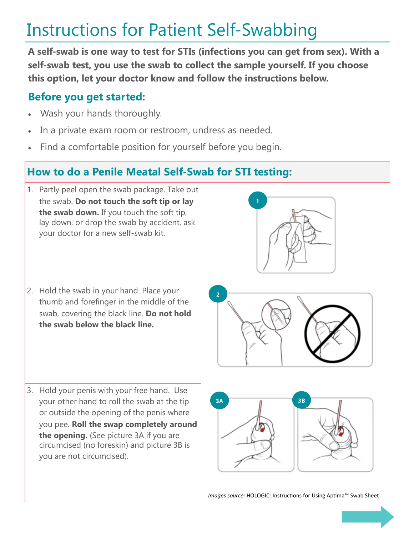## Instructions for Patient Self-Swabbing

**A self-swab is one way to test for STIs (infections you can get from sex). With a self-swab test, you use the swab to collect the sample yourself. If you choose this option, let your doctor know and follow the instructions below.**

## **Before you get started:**

- Wash your hands thoroughly.
- In a private exam room or restroom, undress as needed.
- Find a comfortable position for yourself before you begin.

## **How to do a Penile Meatal Self-Swab for STI testing:**

- 1. Partly peel open the swab package. Take out the swab. **Do not touch the soft tip or lay the swab down.** If you touch the soft tip, lay down, or drop the swab by accident, ask your doctor for a new self-swab kit.
- 2. Hold the swab in your hand. Place your thumb and forefinger in the middle of the swab, covering the black line. **Do not hold the swab below the black line.**

**2**

**1**

3. Hold your penis with your free hand. Use your other hand to roll the swab at the tip or outside the opening of the penis where you pee. **Roll the swap completely around the opening.** (See picture 3A if you are circumcised (no foreskin) and picture 3B is you are not circumcised).





*Images source:* HOLOGIC: Instructions for Using Aptima™ Swab Sheet